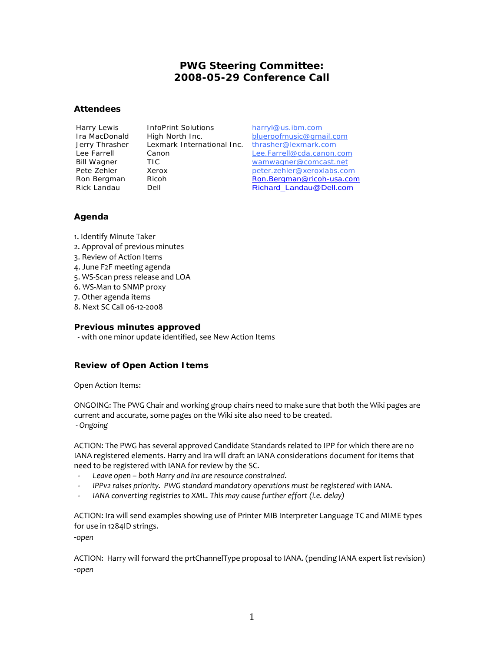# **PWG Steering Committee: 2008-05-29 Conference Call**

#### **Attendees**

Harry Lewis InfoPrint Solutions harryl@us.ibm.com Jerry Thrasher Lexmark International Inc. thrasher@lexmark.com

Ira MacDonald High North Inc. blueroofmusic@gmail.com Lee Farrell Canon Lee.Farrell@cda.canon.com Bill Wagner TIC wamwagner@comcast.net Pete Zehler Xerox Manual Charles Reter.zehler@xeroxlabs.com Ron Bergman Ricoh Ron.Bergman@ricoh-usa.com Rick Landau Dell Dell Richard\_Landau@Dell.com

## **Agenda**

1. Identify Minute Taker

- 2. Approval of previous minutes
- 3. Review of Action Items
- 4. June F2F meeting agenda
- 5. WS-Scan press release and LOA
- 6. WS-Man to SNMP proxy
- 7. Other agenda items
- 8. Next SC Call 06-12-2008

### **Previous minutes approved**

- with one minor update identified, see New Action Items

## **Review of Open Action Items**

Open Action Items:

ONGOING: The PWG Chair and working group chairs need to make sure that both the Wiki pages are current and accurate, some pages on the Wiki site also need to be created.  *- Ongoing*

ACTION: The PWG has several approved Candidate Standards related to IPP for which there are no IANA registered elements. Harry and Ira will draft an IANA considerations document for items that need to be registered with IANA for review by the SC.

- *Leave open both Harry and Ira are resource constrained.*
- *IPPv2 raises priority. PWG standard mandatory operations must be registered with IANA.*
- *IANA converting registries to XML. This may cause further effort (i.e. delay)*

ACTION: Ira will send examples showing use of Printer MIB Interpreter Language TC and MIME types for use in 1284ID strings.

-*open*

ACTION: Harry will forward the prtChannelType proposal to IANA. (pending IANA expert list revision) -*open*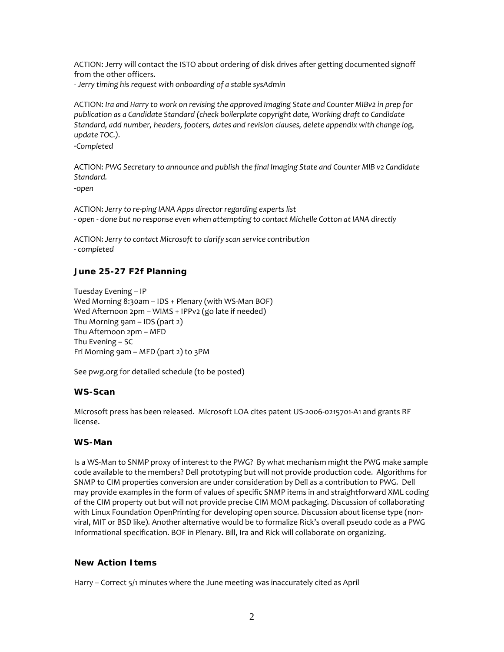ACTION: Jerry will contact the ISTO about ordering of disk drives after getting documented signoff from the other officers.

- *Jerry timing his request with onboarding of a stable sysAdmin* 

ACTION: *Ira and Harry to work on revising the approved Imaging State and Counter MIBv2 in prep for publication as a Candidate Standard (check boilerplate copyright date, Working draft to Candidate Standard, add number, headers, footers, dates and revision clauses, delete appendix with change log, update TOC.).* 

-*Completed*

ACTION: *PWG Secretary to announce and publish the final Imaging State and Counter MIB v2 Candidate Standard.* 

-*open* 

ACTION: *Jerry to re-ping IANA Apps director regarding experts list - open - done but no response even when attempting to contact Michelle Cotton at IANA directly* 

ACTION: *Jerry to contact Microsoft to clarify scan service contribution - completed* 

### **June 25-27 F2f Planning**

Tuesday Evening – IP Wed Morning 8:30am – IDS + Plenary (with WS-Man BOF) Wed Afternoon 2pm – WIMS + IPPv2 (go late if needed) Thu Morning 9am – IDS (part 2) Thu Afternoon 2pm – MFD Thu Evening – SC Fri Morning 9am – MFD (part 2) to 3PM

See pwg.org for detailed schedule (to be posted)

#### **WS-Scan**

Microsoft press has been released. Microsoft LOA cites patent US-2006-0215701-A1 and grants RF license.

#### **WS-Man**

Is a WS-Man to SNMP proxy of interest to the PWG? By what mechanism might the PWG make sample code available to the members? Dell prototyping but will not provide production code. Algorithms for SNMP to CIM properties conversion are under consideration by Dell as a contribution to PWG. Dell may provide examples in the form of values of specific SNMP items in and straightforward XML coding of the CIM property out but will not provide precise CIM MOM packaging. Discussion of collaborating with Linux Foundation OpenPrinting for developing open source. Discussion about license type (nonviral, MIT or BSD like). Another alternative would be to formalize Rick's overall pseudo code as a PWG Informational specification. BOF in Plenary. Bill, Ira and Rick will collaborate on organizing.

#### **New Action Items**

Harry – Correct 5/1 minutes where the June meeting was inaccurately cited as April